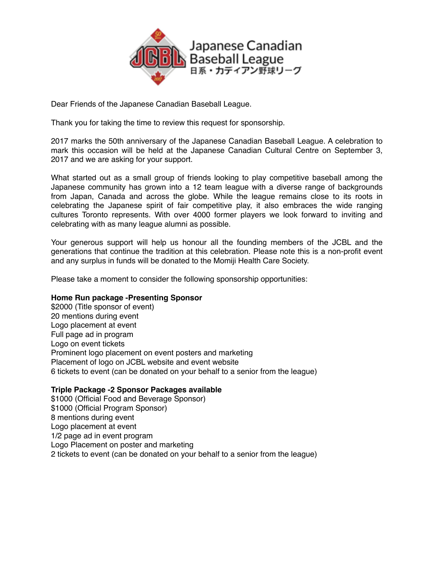

Dear Friends of the Japanese Canadian Baseball League.

Thank you for taking the time to review this request for sponsorship.

2017 marks the 50th anniversary of the Japanese Canadian Baseball League. A celebration to mark this occasion will be held at the Japanese Canadian Cultural Centre on September 3, 2017 and we are asking for your support.

What started out as a small group of friends looking to play competitive baseball among the Japanese community has grown into a 12 team league with a diverse range of backgrounds from Japan, Canada and across the globe. While the league remains close to its roots in celebrating the Japanese spirit of fair competitive play, it also embraces the wide ranging cultures Toronto represents. With over 4000 former players we look forward to inviting and celebrating with as many league alumni as possible.

Your generous support will help us honour all the founding members of the JCBL and the generations that continue the tradition at this celebration. Please note this is a non-profit event and any surplus in funds will be donated to the Momiji Health Care Society.

Please take a moment to consider the following sponsorship opportunities:

## **Home Run package -Presenting Sponsor**

\$2000 (Title sponsor of event) 20 mentions during event Logo placement at event Full page ad in program Logo on event tickets Prominent logo placement on event posters and marketing Placement of logo on JCBL website and event website 6 tickets to event (can be donated on your behalf to a senior from the league)

## **Triple Package -2 Sponsor Packages available**

\$1000 (Official Food and Beverage Sponsor) \$1000 (Official Program Sponsor) 8 mentions during event Logo placement at event 1/2 page ad in event program Logo Placement on poster and marketing 2 tickets to event (can be donated on your behalf to a senior from the league)